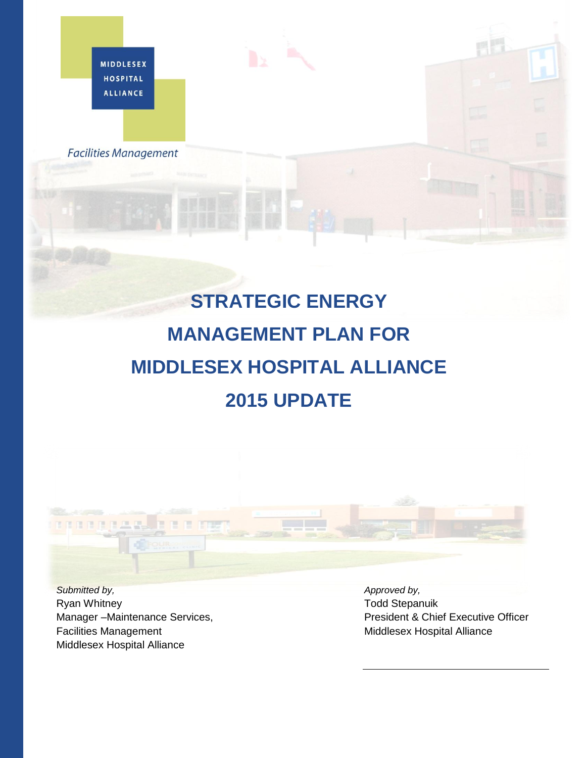**MIDDLESEX HOSPITAL ALLIANCE** 

**Facilities Management** 

## **STRATEGIC ENERGY MANAGEMENT PLAN FOR MIDDLESEX HOSPITAL ALLIANCE 2015 UPDATE**



*Submitted by,*  Ryan Whitney Manager –Maintenance Services, Facilities Management Middlesex Hospital Alliance

*Approved by,*  Todd Stepanuik President & Chief Executive Officer Middlesex Hospital Alliance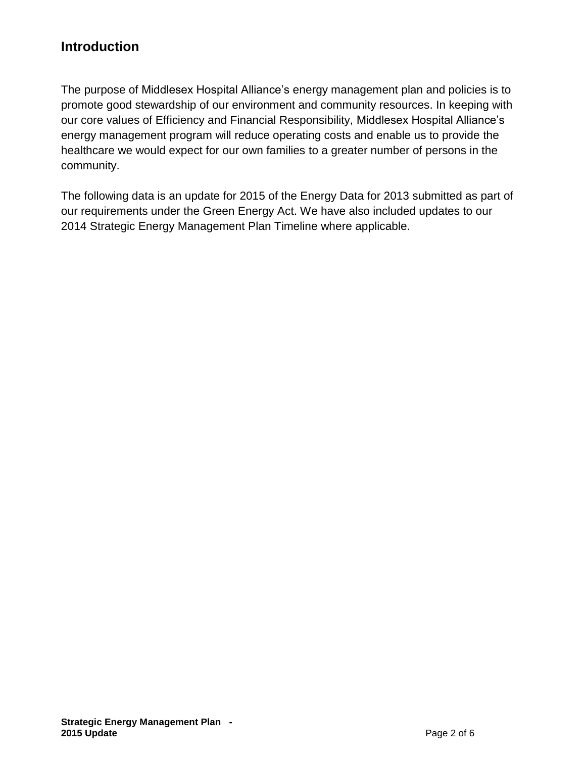## **Introduction**

The purpose of Middlesex Hospital Alliance's energy management plan and policies is to promote good stewardship of our environment and community resources. In keeping with our core values of Efficiency and Financial Responsibility, Middlesex Hospital Alliance's energy management program will reduce operating costs and enable us to provide the healthcare we would expect for our own families to a greater number of persons in the community.

The following data is an update for 2015 of the Energy Data for 2013 submitted as part of our requirements under the Green Energy Act. We have also included updates to our 2014 Strategic Energy Management Plan Timeline where applicable.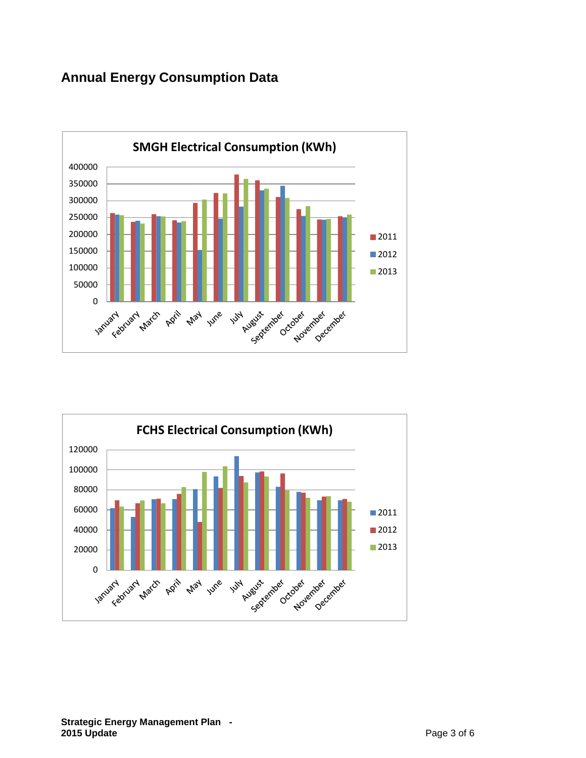## **Annual Energy Consumption Data**





## **Strategic Energy Management Plan - 2015 Update** Page 3 of 6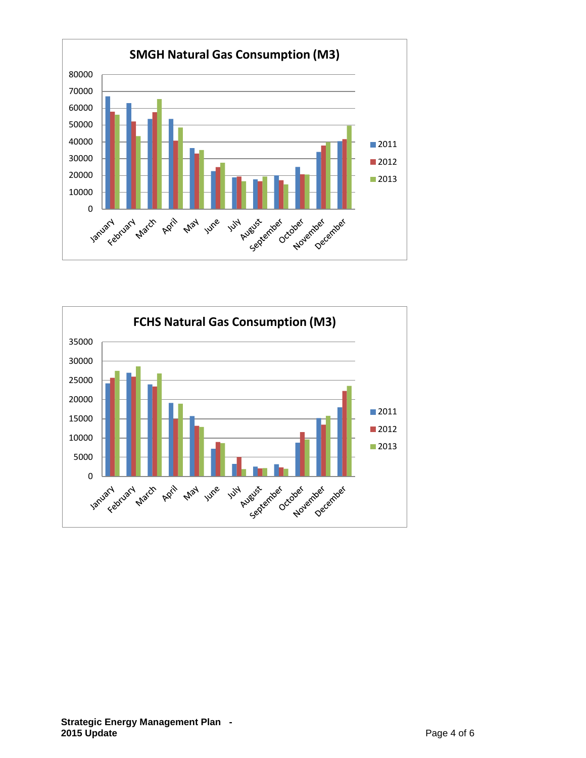

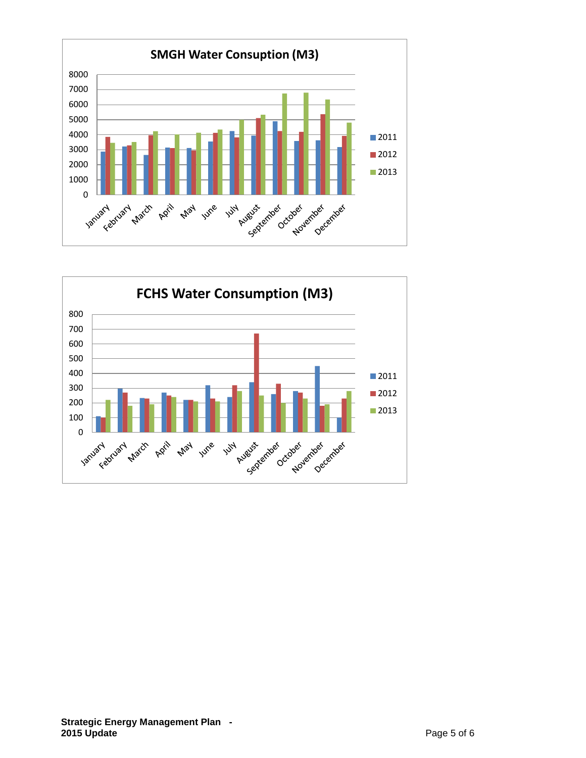